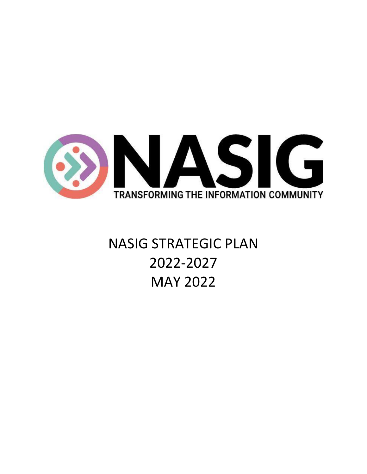

# NASIG STRATEGIC PLAN 2022-2027 MAY 2022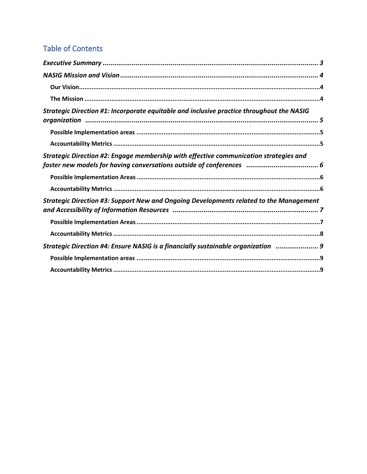# **Table of Contents**

| Strategic Direction #1: Incorporate equitable and inclusive practice throughout the NASIG     |
|-----------------------------------------------------------------------------------------------|
|                                                                                               |
|                                                                                               |
| Strategic Direction #2: Engage membership with effective communication strategies and         |
|                                                                                               |
|                                                                                               |
| <b>Strategic Direction #3: Support New and Ongoing Developments related to the Management</b> |
|                                                                                               |
|                                                                                               |
| Strategic Direction #4: Ensure NASIG is a financially sustainable organization  9             |
|                                                                                               |
|                                                                                               |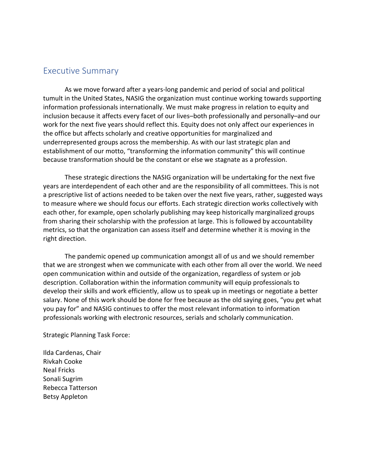### <span id="page-2-0"></span>Executive Summary

As we move forward after a years-long pandemic and period of social and political tumult in the United States, NASIG the organization must continue working towards supporting information professionals internationally. We must make progress in relation to equity and inclusion because it affects every facet of our lives–both professionally and personally–and our work for the next five years should reflect this. Equity does not only affect our experiences in the office but affects scholarly and creative opportunities for marginalized and underrepresented groups across the membership. As with our last strategic plan and establishment of our motto, "transforming the information community" this will continue because transformation should be the constant or else we stagnate as a profession.

These strategic directions the NASIG organization will be undertaking for the next five years are interdependent of each other and are the responsibility of all committees. This is not a prescriptive list of actions needed to be taken over the next five years, rather, suggested ways to measure where we should focus our efforts. Each strategic direction works collectively with each other, for example, open scholarly publishing may keep historically marginalized groups from sharing their scholarship with the profession at large. This is followed by accountability metrics, so that the organization can assess itself and determine whether it is moving in the right direction.

The pandemic opened up communication amongst all of us and we should remember that we are strongest when we communicate with each other from all over the world. We need open communication within and outside of the organization, regardless of system or job description. Collaboration within the information community will equip professionals to develop their skills and work efficiently, allow us to speak up in meetings or negotiate a better salary. None of this work should be done for free because as the old saying goes, "you get what you pay for" and NASIG continues to offer the most relevant information to information professionals working with electronic resources, serials and scholarly communication.

Strategic Planning Task Force:

Ilda Cardenas, Chair Rivkah Cooke Neal Fricks Sonali Sugrim Rebecca Tatterson Betsy Appleton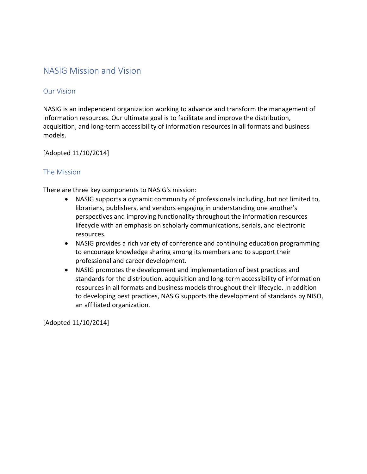### <span id="page-3-0"></span>NASIG Mission and Vision

#### <span id="page-3-1"></span>Our Vision

NASIG is an independent organization working to advance and transform the management of information resources. Our ultimate goal is to facilitate and improve the distribution, acquisition, and long-term accessibility of information resources in all formats and business models.

[Adopted 11/10/2014]

### <span id="page-3-2"></span>The Mission

There are three key components to NASIG's mission:

- NASIG supports a dynamic community of professionals including, but not limited to, librarians, publishers, and vendors engaging in understanding one another's perspectives and improving functionality throughout the information resources lifecycle with an emphasis on scholarly communications, serials, and electronic resources.
- NASIG provides a rich variety of conference and continuing education programming to encourage knowledge sharing among its members and to support their professional and career development.
- NASIG promotes the development and implementation of best practices and standards for the distribution, acquisition and long-term accessibility of information resources in all formats and business models throughout their lifecycle. In addition to developing best practices, NASIG supports the development of standards by NISO, an affiliated organization.

[Adopted 11/10/2014]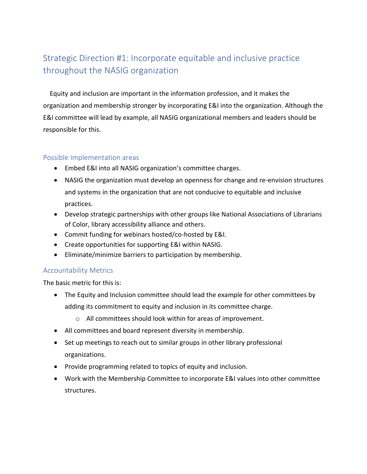### <span id="page-4-0"></span>Strategic Direction #1: Incorporate equitable and inclusive practice throughout the NASIG organization

Equity and inclusion are important in the information profession, and it makes the organization and membership stronger by incorporating E&I into the organization. Although the E&I committee will lead by example, all NASIG organizational members and leaders should be responsible for this.

#### <span id="page-4-1"></span>Possible Implementation areas

- Embed E&I into all NASIG organization's committee charges.
- NASIG the organization must develop an openness for change and re-envision structures and systems in the organization that are not conducive to equitable and inclusive practices.
- Develop strategic partnerships with other groups like National Associations of Librarians of Color, library accessibility alliance and others.
- Commit funding for webinars hosted/co-hosted by E&I.
- Create opportunities for supporting E&I within NASIG.
- Eliminate/minimize barriers to participation by membership.

### <span id="page-4-2"></span>Accountability Metrics

- The Equity and Inclusion committee should lead the example for other committees by adding its commitment to equity and inclusion in its committee charge.
	- o All committees should look within for areas of improvement.
- All committees and board represent diversity in membership.
- Set up meetings to reach out to similar groups in other library professional organizations.
- Provide programming related to topics of equity and inclusion.
- Work with the Membership Committee to incorporate E&I values into other committee structures.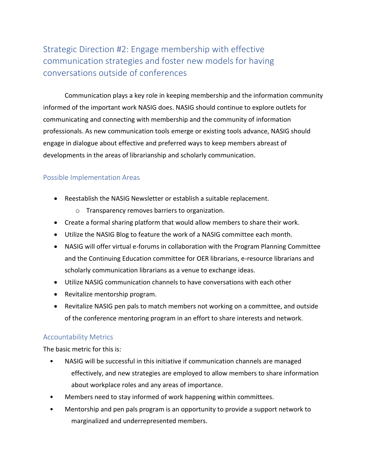## <span id="page-5-0"></span>Strategic Direction #2: Engage membership with effective communication strategies and foster new models for having conversations outside of conferences

Communication plays a key role in keeping membership and the information community informed of the important work NASIG does. NASIG should continue to explore outlets for communicating and connecting with membership and the community of information professionals. As new communication tools emerge or existing tools advance, NASIG should engage in dialogue about effective and preferred ways to keep members abreast of developments in the areas of librarianship and scholarly communication.

### <span id="page-5-1"></span>Possible Implementation Areas

- Reestablish the NASIG Newsletter or establish a suitable replacement.
	- o Transparency removes barriers to organization.
- Create a formal sharing platform that would allow members to share their work.
- Utilize the NASIG Blog to feature the work of a NASIG committee each month.
- NASIG will offer virtual e-forums in collaboration with the Program Planning Committee and the Continuing Education committee for OER librarians, e-resource librarians and scholarly communication librarians as a venue to exchange ideas.
- Utilize NASIG communication channels to have conversations with each other
- Revitalize mentorship program.
- Revitalize NASIG pen pals to match members not working on a committee, and outside of the conference mentoring program in an effort to share interests and network.

### <span id="page-5-2"></span>Accountability Metrics

- NASIG will be successful in this initiative if communication channels are managed effectively, and new strategies are employed to allow members to share information about workplace roles and any areas of importance.
- Members need to stay informed of work happening within committees.
- Mentorship and pen pals program is an opportunity to provide a support network to marginalized and underrepresented members.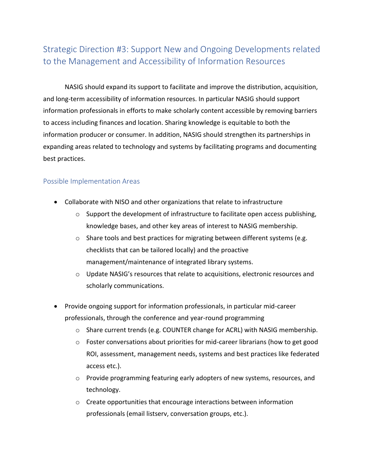# <span id="page-6-0"></span>Strategic Direction #3: Support New and Ongoing Developments related to the Management and Accessibility of Information Resources

NASIG should expand its support to facilitate and improve the distribution, acquisition, and long-term accessibility of information resources. In particular NASIG should support information professionals in efforts to make scholarly content accessible by removing barriers to access including finances and location. Sharing knowledge is equitable to both the information producer or consumer. In addition, NASIG should strengthen its partnerships in expanding areas related to technology and systems by facilitating programs and documenting best practices.

### <span id="page-6-1"></span>Possible Implementation Areas

- Collaborate with NISO and other organizations that relate to infrastructure
	- $\circ$  Support the development of infrastructure to facilitate open access publishing, knowledge bases, and other key areas of interest to NASIG membership.
	- o Share tools and best practices for migrating between different systems (e.g. checklists that can be tailored locally) and the proactive management/maintenance of integrated library systems.
	- o Update NASIG's resources that relate to acquisitions, electronic resources and scholarly communications.
- Provide ongoing support for information professionals, in particular mid-career professionals, through the conference and year-round programming
	- $\circ$  Share current trends (e.g. COUNTER change for ACRL) with NASIG membership.
	- o Foster conversations about priorities for mid-career librarians (how to get good ROI, assessment, management needs, systems and best practices like federated access etc.).
	- $\circ$  Provide programming featuring early adopters of new systems, resources, and technology.
	- o Create opportunities that encourage interactions between information professionals (email listserv, conversation groups, etc.).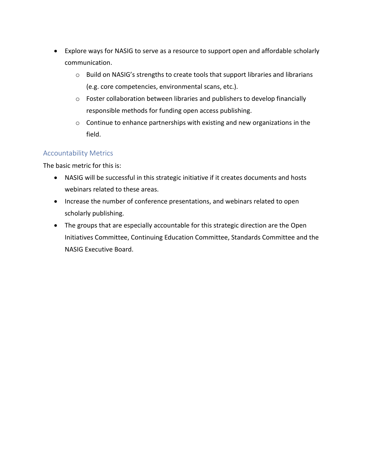- Explore ways for NASIG to serve as a resource to support open and affordable scholarly communication.
	- o Build on NASIG's strengths to create tools that support libraries and librarians (e.g. core competencies, environmental scans, etc.).
	- o Foster collaboration between libraries and publishers to develop financially responsible methods for funding open access publishing.
	- o Continue to enhance partnerships with existing and new organizations in the field.

### <span id="page-7-0"></span>Accountability Metrics

- NASIG will be successful in this strategic initiative if it creates documents and hosts webinars related to these areas.
- Increase the number of conference presentations, and webinars related to open scholarly publishing.
- The groups that are especially accountable for this strategic direction are the Open Initiatives Committee, Continuing Education Committee, Standards Committee and the NASIG Executive Board.